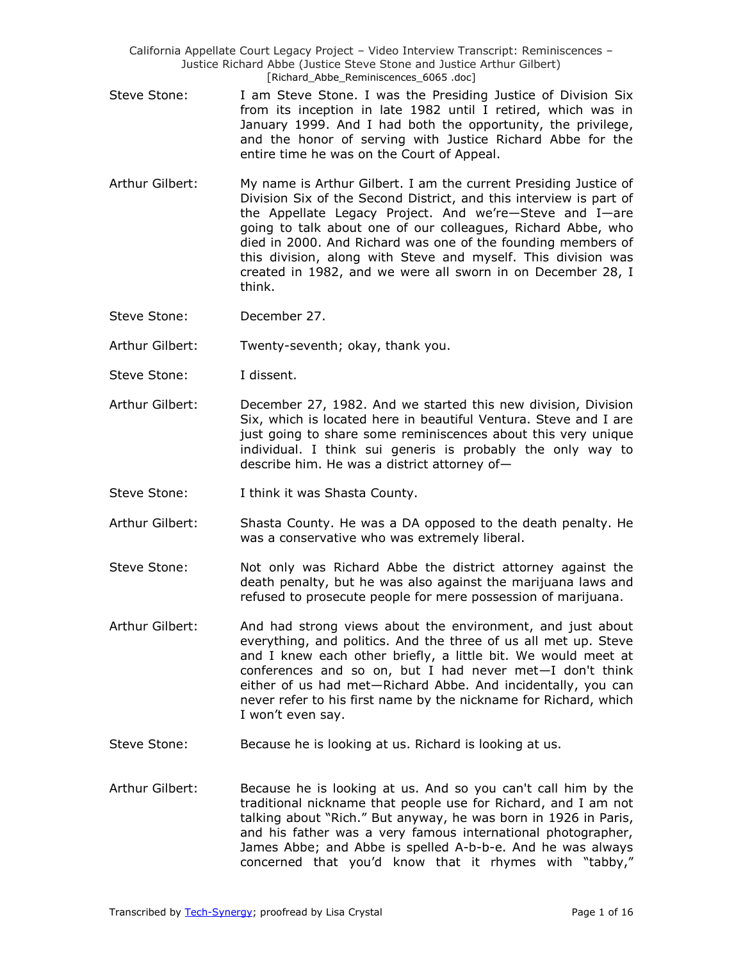- Steve Stone: I am Steve Stone. I was the Presiding Justice of Division Six from its inception in late 1982 until I retired, which was in January 1999. And I had both the opportunity, the privilege, and the honor of serving with Justice Richard Abbe for the entire time he was on the Court of Appeal.
- Arthur Gilbert: My name is Arthur Gilbert. I am the current Presiding Justice of Division Six of the Second District, and this interview is part of the Appellate Legacy Project. And we're—Steve and I—are going to talk about one of our colleagues, Richard Abbe, who died in 2000. And Richard was one of the founding members of this division, along with Steve and myself. This division was created in 1982, and we were all sworn in on December 28, I think.
- Steve Stone: December 27.

Arthur Gilbert: Twenty-seventh; okay, thank you.

- Steve Stone: I dissent.
- Arthur Gilbert: December 27, 1982. And we started this new division, Division Six, which is located here in beautiful Ventura. Steve and I are just going to share some reminiscences about this very unique individual. I think sui generis is probably the only way to describe him. He was a district attorney of—
- Steve Stone: I think it was Shasta County.
- Arthur Gilbert: Shasta County. He was a DA opposed to the death penalty. He was a conservative who was extremely liberal.
- Steve Stone: Not only was Richard Abbe the district attorney against the death penalty, but he was also against the marijuana laws and refused to prosecute people for mere possession of marijuana.
- Arthur Gilbert: And had strong views about the environment, and just about everything, and politics. And the three of us all met up. Steve and I knew each other briefly, a little bit. We would meet at conferences and so on, but I had never met—I don't think either of us had met—Richard Abbe. And incidentally, you can never refer to his first name by the nickname for Richard, which I won't even say.
- Steve Stone: Because he is looking at us. Richard is looking at us.
- Arthur Gilbert: Because he is looking at us. And so you can't call him by the traditional nickname that people use for Richard, and I am not talking about "Rich." But anyway, he was born in 1926 in Paris, and his father was a very famous international photographer, James Abbe; and Abbe is spelled A-b-b-e. And he was always concerned that you'd know that it rhymes with "tabby,"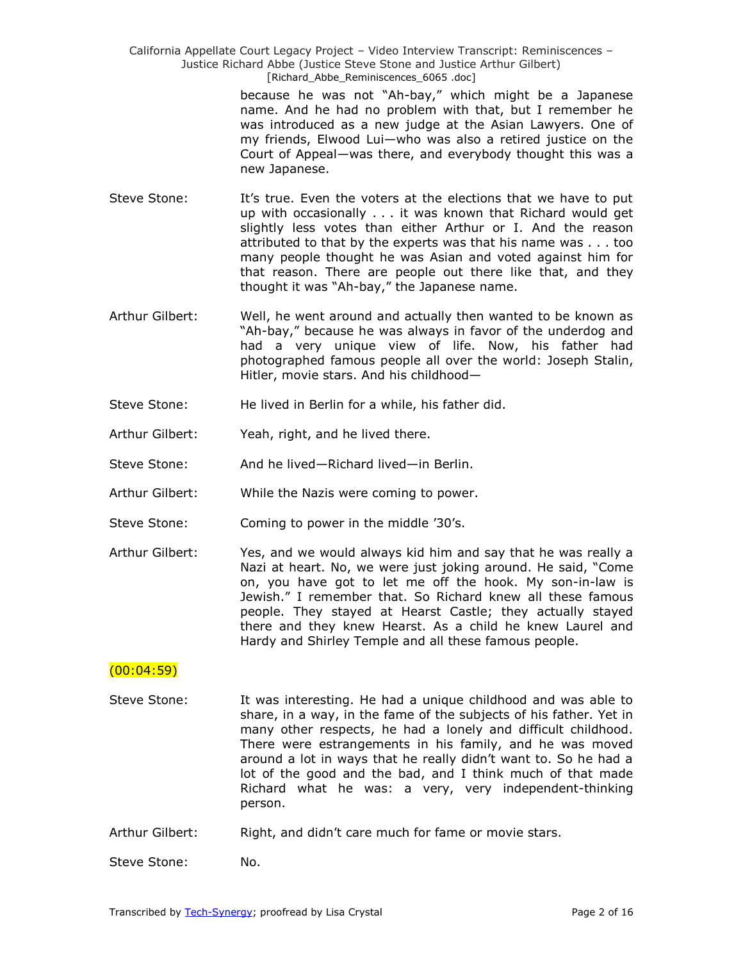> because he was not "Ah-bay," which might be a Japanese name. And he had no problem with that, but I remember he was introduced as a new judge at the Asian Lawyers. One of my friends, Elwood Lui—who was also a retired justice on the Court of Appeal—was there, and everybody thought this was a new Japanese.

- Steve Stone: It's true. Even the voters at the elections that we have to put up with occasionally . . . it was known that Richard would get slightly less votes than either Arthur or I. And the reason attributed to that by the experts was that his name was . . . too many people thought he was Asian and voted against him for that reason. There are people out there like that, and they thought it was "Ah-bay," the Japanese name.
- Arthur Gilbert: Well, he went around and actually then wanted to be known as "Ah-bay," because he was always in favor of the underdog and had a very unique view of life. Now, his father had photographed famous people all over the world: Joseph Stalin, Hitler, movie stars. And his childhood—
- Steve Stone: He lived in Berlin for a while, his father did.
- Arthur Gilbert: Yeah, right, and he lived there.
- Steve Stone: And he lived—Richard lived—in Berlin.
- Arthur Gilbert: While the Nazis were coming to power.
- Steve Stone: Coming to power in the middle '30's.
- Arthur Gilbert: Yes, and we would always kid him and say that he was really a Nazi at heart. No, we were just joking around. He said, "Come on, you have got to let me off the hook. My son-in-law is Jewish." I remember that. So Richard knew all these famous people. They stayed at Hearst Castle; they actually stayed there and they knew Hearst. As a child he knew Laurel and Hardy and Shirley Temple and all these famous people.

## $(00:04:59)$

- Steve Stone: It was interesting. He had a unique childhood and was able to share, in a way, in the fame of the subjects of his father. Yet in many other respects, he had a lonely and difficult childhood. There were estrangements in his family, and he was moved around a lot in ways that he really didn't want to. So he had a lot of the good and the bad, and I think much of that made Richard what he was: a very, very independent-thinking person.
- Arthur Gilbert: Right, and didn't care much for fame or movie stars.
- Steve Stone: No.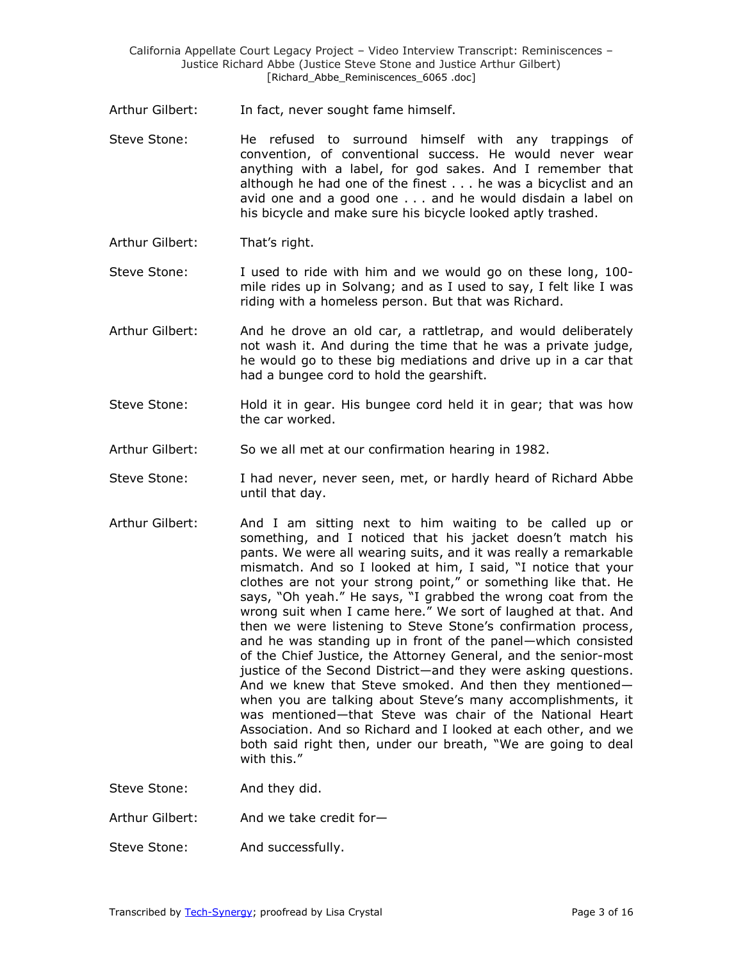- Arthur Gilbert: In fact, never sought fame himself.
- Steve Stone: He refused to surround himself with any trappings of convention, of conventional success. He would never wear anything with a label, for god sakes. And I remember that although he had one of the finest . . . he was a bicyclist and an avid one and a good one . . . and he would disdain a label on his bicycle and make sure his bicycle looked aptly trashed.
- Arthur Gilbert: That's right.
- Steve Stone: I used to ride with him and we would go on these long, 100 mile rides up in Solvang; and as I used to say, I felt like I was riding with a homeless person. But that was Richard.
- Arthur Gilbert: And he drove an old car, a rattletrap, and would deliberately not wash it. And during the time that he was a private judge, he would go to these big mediations and drive up in a car that had a bungee cord to hold the gearshift.
- Steve Stone: Hold it in gear. His bungee cord held it in gear; that was how the car worked.
- Arthur Gilbert: So we all met at our confirmation hearing in 1982.
- Steve Stone: I had never, never seen, met, or hardly heard of Richard Abbe until that day.
- Arthur Gilbert: And I am sitting next to him waiting to be called up or something, and I noticed that his jacket doesn't match his pants. We were all wearing suits, and it was really a remarkable mismatch. And so I looked at him, I said, "I notice that your clothes are not your strong point," or something like that. He says, "Oh yeah." He says, "I grabbed the wrong coat from the wrong suit when I came here." We sort of laughed at that. And then we were listening to Steve Stone's confirmation process, and he was standing up in front of the panel—which consisted of the Chief Justice, the Attorney General, and the senior-most justice of the Second District—and they were asking questions. And we knew that Steve smoked. And then they mentioned when you are talking about Steve's many accomplishments, it was mentioned—that Steve was chair of the National Heart Association. And so Richard and I looked at each other, and we both said right then, under our breath, "We are going to deal with this."

Steve Stone: And they did.

- Arthur Gilbert: And we take credit for-
- Steve Stone: And successfully.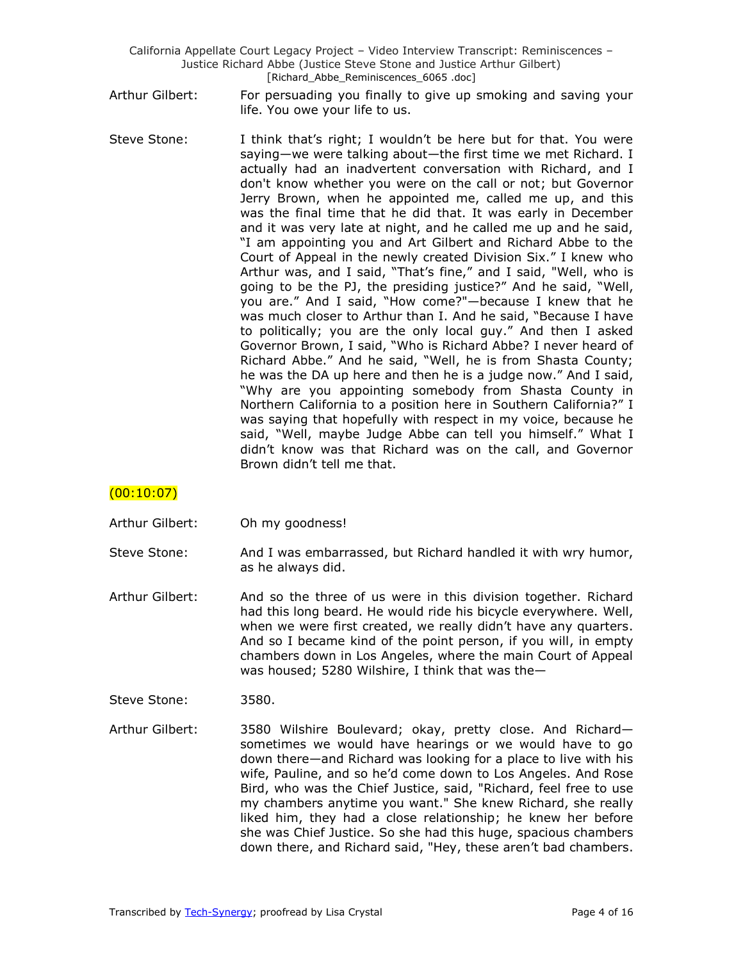- Arthur Gilbert: For persuading you finally to give up smoking and saving your life. You owe your life to us.
- Steve Stone: I think that's right; I wouldn't be here but for that. You were saying—we were talking about—the first time we met Richard. I actually had an inadvertent conversation with Richard, and I don't know whether you were on the call or not; but Governor Jerry Brown, when he appointed me, called me up, and this was the final time that he did that. It was early in December and it was very late at night, and he called me up and he said, "I am appointing you and Art Gilbert and Richard Abbe to the Court of Appeal in the newly created Division Six." I knew who Arthur was, and I said, "That's fine," and I said, "Well, who is going to be the PJ, the presiding justice?" And he said, "Well, you are." And I said, "How come?"—because I knew that he was much closer to Arthur than I. And he said, "Because I have to politically; you are the only local guy." And then I asked Governor Brown, I said, "Who is Richard Abbe? I never heard of Richard Abbe." And he said, "Well, he is from Shasta County; he was the DA up here and then he is a judge now." And I said, "Why are you appointing somebody from Shasta County in Northern California to a position here in Southern California?" I was saying that hopefully with respect in my voice, because he said, "Well, maybe Judge Abbe can tell you himself." What I didn't know was that Richard was on the call, and Governor Brown didn't tell me that.

# $(00:10:07)$

- Arthur Gilbert: Oh my goodness!
- Steve Stone: And I was embarrassed, but Richard handled it with wry humor, as he always did.
- Arthur Gilbert: And so the three of us were in this division together. Richard had this long beard. He would ride his bicycle everywhere. Well, when we were first created, we really didn't have any quarters. And so I became kind of the point person, if you will, in empty chambers down in Los Angeles, where the main Court of Appeal was housed; 5280 Wilshire, I think that was the—
- Steve Stone: 3580.
- Arthur Gilbert: 3580 Wilshire Boulevard; okay, pretty close. And Richard sometimes we would have hearings or we would have to go down there—and Richard was looking for a place to live with his wife, Pauline, and so he'd come down to Los Angeles. And Rose Bird, who was the Chief Justice, said, "Richard, feel free to use my chambers anytime you want." She knew Richard, she really liked him, they had a close relationship; he knew her before she was Chief Justice. So she had this huge, spacious chambers down there, and Richard said, "Hey, these aren't bad chambers.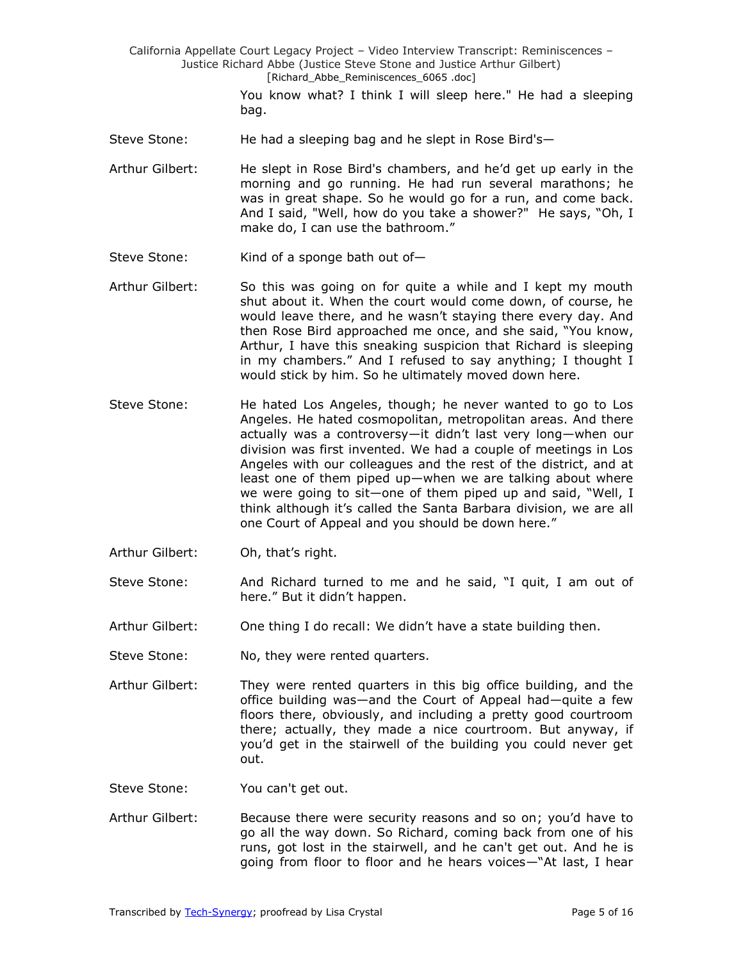> You know what? I think I will sleep here." He had a sleeping bag.

- Steve Stone: He had a sleeping bag and he slept in Rose Bird's-
- Arthur Gilbert: He slept in Rose Bird's chambers, and he'd get up early in the morning and go running. He had run several marathons; he was in great shape. So he would go for a run, and come back. And I said, "Well, how do you take a shower?" He says, "Oh, I make do, I can use the bathroom."
- Steve Stone: Kind of a sponge bath out of-
- Arthur Gilbert: So this was going on for quite a while and I kept my mouth shut about it. When the court would come down, of course, he would leave there, and he wasn't staying there every day. And then Rose Bird approached me once, and she said, "You know, Arthur, I have this sneaking suspicion that Richard is sleeping in my chambers." And I refused to say anything; I thought I would stick by him. So he ultimately moved down here.
- Steve Stone: He hated Los Angeles, though; he never wanted to go to Los Angeles. He hated cosmopolitan, metropolitan areas. And there actually was a controversy—it didn't last very long—when our division was first invented. We had a couple of meetings in Los Angeles with our colleagues and the rest of the district, and at least one of them piped up—when we are talking about where we were going to sit-one of them piped up and said, "Well, I think although it's called the Santa Barbara division, we are all one Court of Appeal and you should be down here."
- Arthur Gilbert: Oh, that's right.
- Steve Stone: And Richard turned to me and he said, "I quit, I am out of here." But it didn't happen.
- Arthur Gilbert: One thing I do recall: We didn't have a state building then.
- Steve Stone: No, they were rented quarters.
- Arthur Gilbert: They were rented quarters in this big office building, and the office building was—and the Court of Appeal had—quite a few floors there, obviously, and including a pretty good courtroom there; actually, they made a nice courtroom. But anyway, if you'd get in the stairwell of the building you could never get out.

Steve Stone: You can't get out.

Arthur Gilbert: Because there were security reasons and so on; you'd have to go all the way down. So Richard, coming back from one of his runs, got lost in the stairwell, and he can't get out. And he is going from floor to floor and he hears voices—"At last, I hear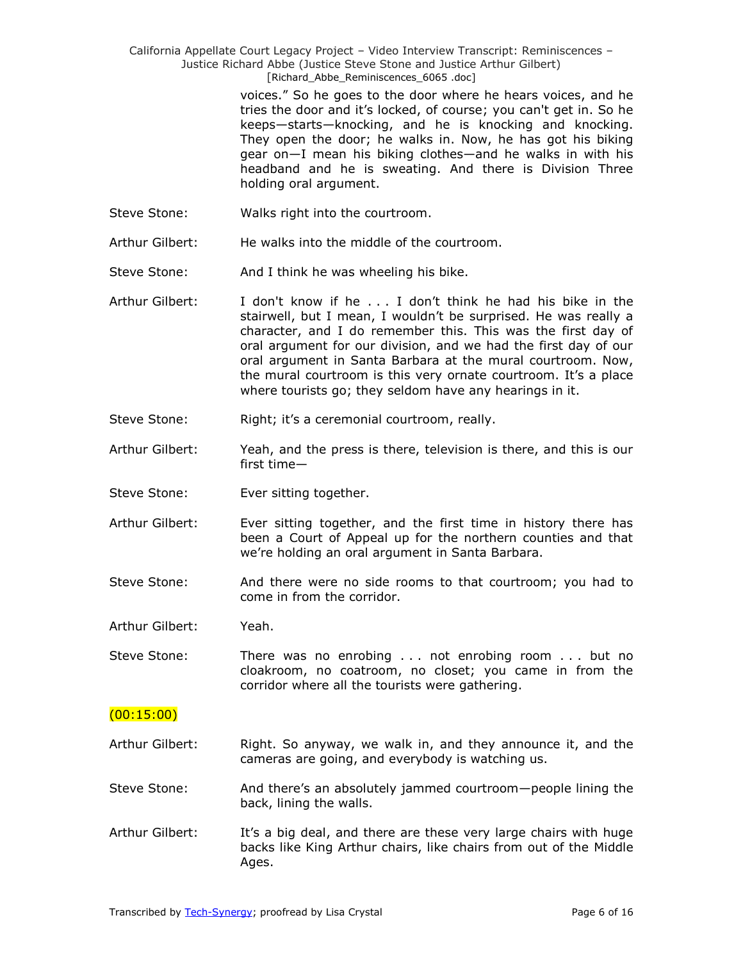> voices.‖ So he goes to the door where he hears voices, and he tries the door and it's locked, of course; you can't get in. So he keeps—starts—knocking, and he is knocking and knocking. They open the door; he walks in. Now, he has got his biking gear on—I mean his biking clothes—and he walks in with his headband and he is sweating. And there is Division Three holding oral argument.

Steve Stone: Walks right into the courtroom.

Arthur Gilbert: He walks into the middle of the courtroom.

- Steve Stone: And I think he was wheeling his bike.
- Arthur Gilbert: I don't know if he . . . I don't think he had his bike in the stairwell, but I mean, I wouldn't be surprised. He was really a character, and I do remember this. This was the first day of oral argument for our division, and we had the first day of our oral argument in Santa Barbara at the mural courtroom. Now, the mural courtroom is this very ornate courtroom. It's a place where tourists go; they seldom have any hearings in it.
- Steve Stone: Right; it's a ceremonial courtroom, really.
- Arthur Gilbert: Yeah, and the press is there, television is there, and this is our first time—
- Steve Stone: Ever sitting together.
- Arthur Gilbert: Ever sitting together, and the first time in history there has been a Court of Appeal up for the northern counties and that we're holding an oral argument in Santa Barbara.
- Steve Stone: And there were no side rooms to that courtroom; you had to come in from the corridor.

Arthur Gilbert: Yeah.

Steve Stone: There was no enrobing . . . not enrobing room . . . but no cloakroom, no coatroom, no closet; you came in from the corridor where all the tourists were gathering.

## $(00:15:00)$

- Arthur Gilbert: Right. So anyway, we walk in, and they announce it, and the cameras are going, and everybody is watching us.
- Steve Stone: And there's an absolutely jammed courtroom—people lining the back, lining the walls.
- Arthur Gilbert: It's a big deal, and there are these very large chairs with huge backs like King Arthur chairs, like chairs from out of the Middle Ages.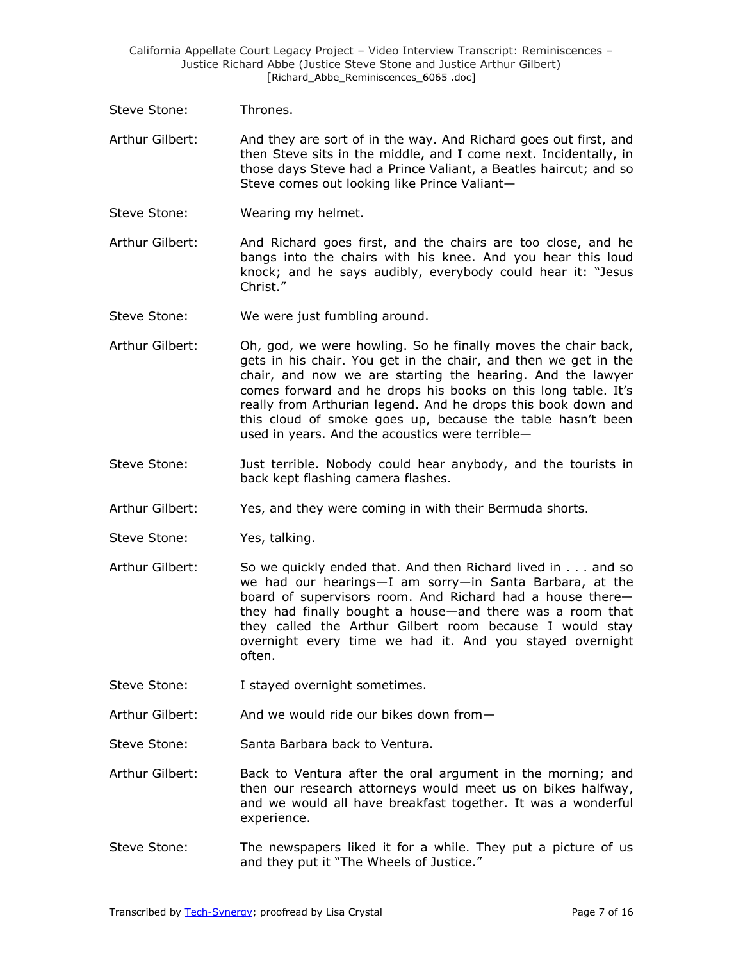Steve Stone: Thrones.

Arthur Gilbert: And they are sort of in the way. And Richard goes out first, and then Steve sits in the middle, and I come next. Incidentally, in those days Steve had a Prince Valiant, a Beatles haircut; and so Steve comes out looking like Prince Valiant—

Steve Stone: Wearing my helmet.

Arthur Gilbert: And Richard goes first, and the chairs are too close, and he bangs into the chairs with his knee. And you hear this loud knock; and he says audibly, everybody could hear it: "Jesus Christ."

- Steve Stone: We were just fumbling around.
- Arthur Gilbert: Oh, god, we were howling. So he finally moves the chair back, gets in his chair. You get in the chair, and then we get in the chair, and now we are starting the hearing. And the lawyer comes forward and he drops his books on this long table. It's really from Arthurian legend. And he drops this book down and this cloud of smoke goes up, because the table hasn't been used in years. And the acoustics were terrible—
- Steve Stone: Just terrible. Nobody could hear anybody, and the tourists in back kept flashing camera flashes.
- Arthur Gilbert: Yes, and they were coming in with their Bermuda shorts.
- Steve Stone: Yes, talking.
- Arthur Gilbert: So we quickly ended that. And then Richard lived in . . . and so we had our hearings—I am sorry—in Santa Barbara, at the board of supervisors room. And Richard had a house there they had finally bought a house—and there was a room that they called the Arthur Gilbert room because I would stay overnight every time we had it. And you stayed overnight often.
- Steve Stone: I stayed overnight sometimes.
- Arthur Gilbert: And we would ride our bikes down from—
- Steve Stone: Santa Barbara back to Ventura.
- Arthur Gilbert: Back to Ventura after the oral argument in the morning; and then our research attorneys would meet us on bikes halfway, and we would all have breakfast together. It was a wonderful experience.
- Steve Stone: The newspapers liked it for a while. They put a picture of us and they put it "The Wheels of Justice."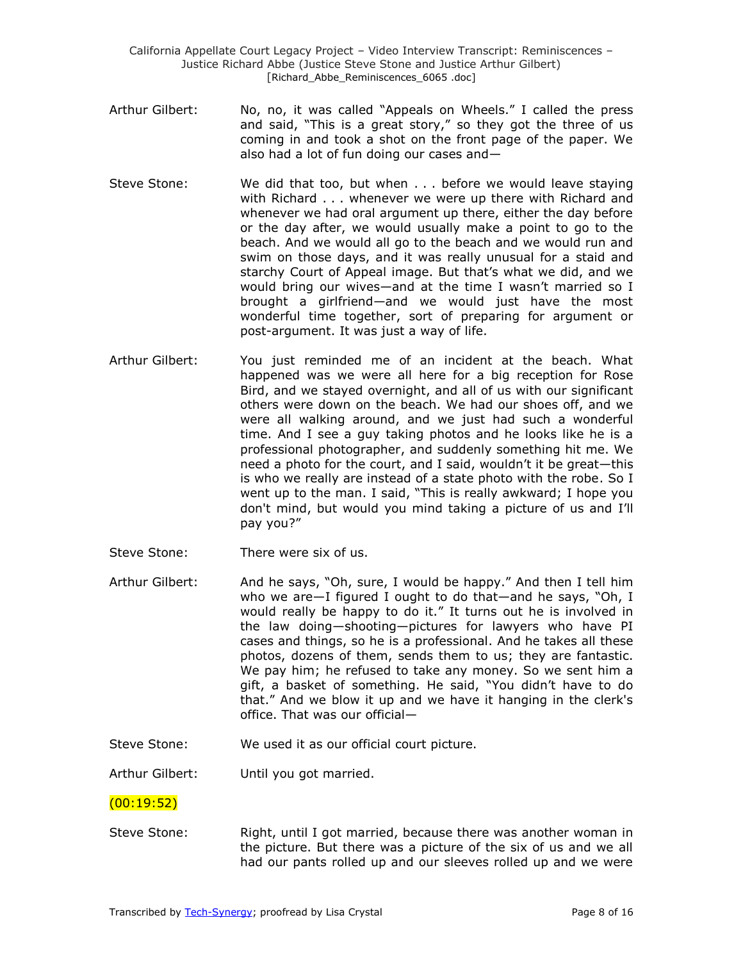- Arthur Gilbert: No, no, it was called "Appeals on Wheels." I called the press and said, "This is a great story," so they got the three of us coming in and took a shot on the front page of the paper. We also had a lot of fun doing our cases and—
- Steve Stone: We did that too, but when . . . before we would leave staying with Richard . . . whenever we were up there with Richard and whenever we had oral argument up there, either the day before or the day after, we would usually make a point to go to the beach. And we would all go to the beach and we would run and swim on those days, and it was really unusual for a staid and starchy Court of Appeal image. But that's what we did, and we would bring our wives—and at the time I wasn't married so I brought a girlfriend—and we would just have the most wonderful time together, sort of preparing for argument or post-argument. It was just a way of life.
- Arthur Gilbert: You just reminded me of an incident at the beach. What happened was we were all here for a big reception for Rose Bird, and we stayed overnight, and all of us with our significant others were down on the beach. We had our shoes off, and we were all walking around, and we just had such a wonderful time. And I see a guy taking photos and he looks like he is a professional photographer, and suddenly something hit me. We need a photo for the court, and I said, wouldn't it be great—this is who we really are instead of a state photo with the robe. So I went up to the man. I said, "This is really awkward; I hope you don't mind, but would you mind taking a picture of us and I'll pay you?"
- Steve Stone: There were six of us.
- Arthur Gilbert: And he says, "Oh, sure, I would be happy." And then I tell him who we are—I figured I ought to do that—and he says, "Oh, I would really be happy to do it." It turns out he is involved in the law doing—shooting—pictures for lawyers who have PI cases and things, so he is a professional. And he takes all these photos, dozens of them, sends them to us; they are fantastic. We pay him; he refused to take any money. So we sent him a gift, a basket of something. He said, "You didn't have to do that." And we blow it up and we have it hanging in the clerk's office. That was our official—
- Steve Stone: We used it as our official court picture.

Arthur Gilbert: Until you got married.

## (00:19:52)

Steve Stone: Right, until I got married, because there was another woman in the picture. But there was a picture of the six of us and we all had our pants rolled up and our sleeves rolled up and we were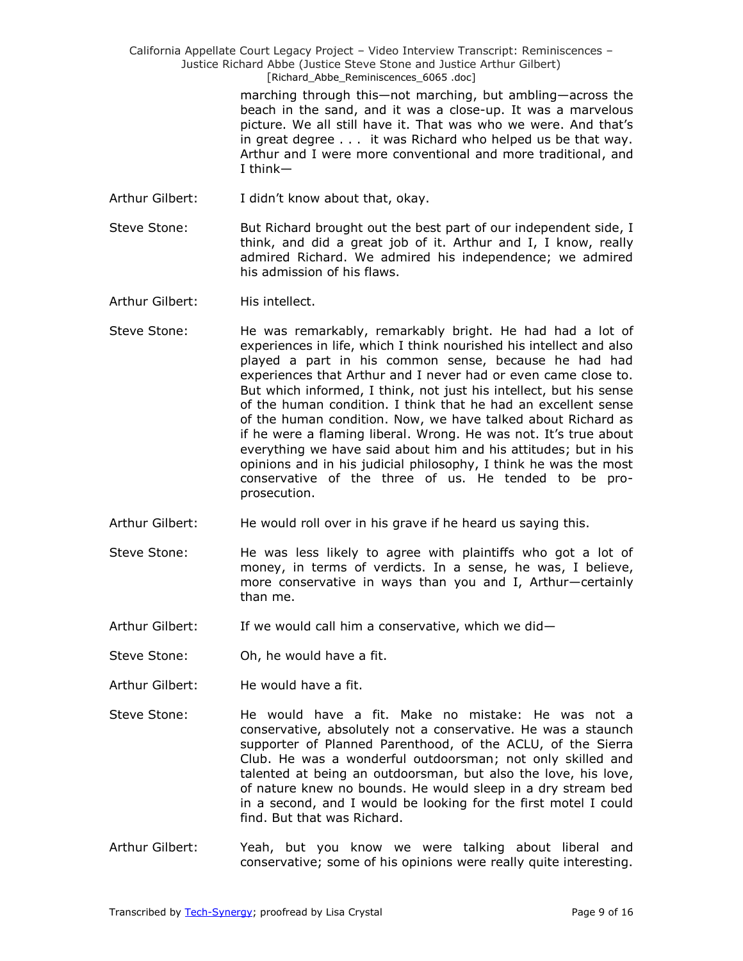> marching through this—not marching, but ambling—across the beach in the sand, and it was a close-up. It was a marvelous picture. We all still have it. That was who we were. And that's in great degree . . . it was Richard who helped us be that way. Arthur and I were more conventional and more traditional, and I think—

- Arthur Gilbert: I didn't know about that, okay.
- Steve Stone: But Richard brought out the best part of our independent side, I think, and did a great job of it. Arthur and I, I know, really admired Richard. We admired his independence; we admired his admission of his flaws.
- Arthur Gilbert: His intellect.
- Steve Stone: He was remarkably, remarkably bright. He had had a lot of experiences in life, which I think nourished his intellect and also played a part in his common sense, because he had had experiences that Arthur and I never had or even came close to. But which informed, I think, not just his intellect, but his sense of the human condition. I think that he had an excellent sense of the human condition. Now, we have talked about Richard as if he were a flaming liberal. Wrong. He was not. It's true about everything we have said about him and his attitudes; but in his opinions and in his judicial philosophy, I think he was the most conservative of the three of us. He tended to be proprosecution.
- Arthur Gilbert: He would roll over in his grave if he heard us saying this.
- Steve Stone: He was less likely to agree with plaintiffs who got a lot of money, in terms of verdicts. In a sense, he was, I believe, more conservative in ways than you and I, Arthur—certainly than me.
- Arthur Gilbert: If we would call him a conservative, which we did-
- Steve Stone: Oh, he would have a fit.
- Arthur Gilbert: He would have a fit.
- Steve Stone: He would have a fit. Make no mistake: He was not a conservative, absolutely not a conservative. He was a staunch supporter of Planned Parenthood, of the ACLU, of the Sierra Club. He was a wonderful outdoorsman; not only skilled and talented at being an outdoorsman, but also the love, his love, of nature knew no bounds. He would sleep in a dry stream bed in a second, and I would be looking for the first motel I could find. But that was Richard.
- Arthur Gilbert: Yeah, but you know we were talking about liberal and conservative; some of his opinions were really quite interesting.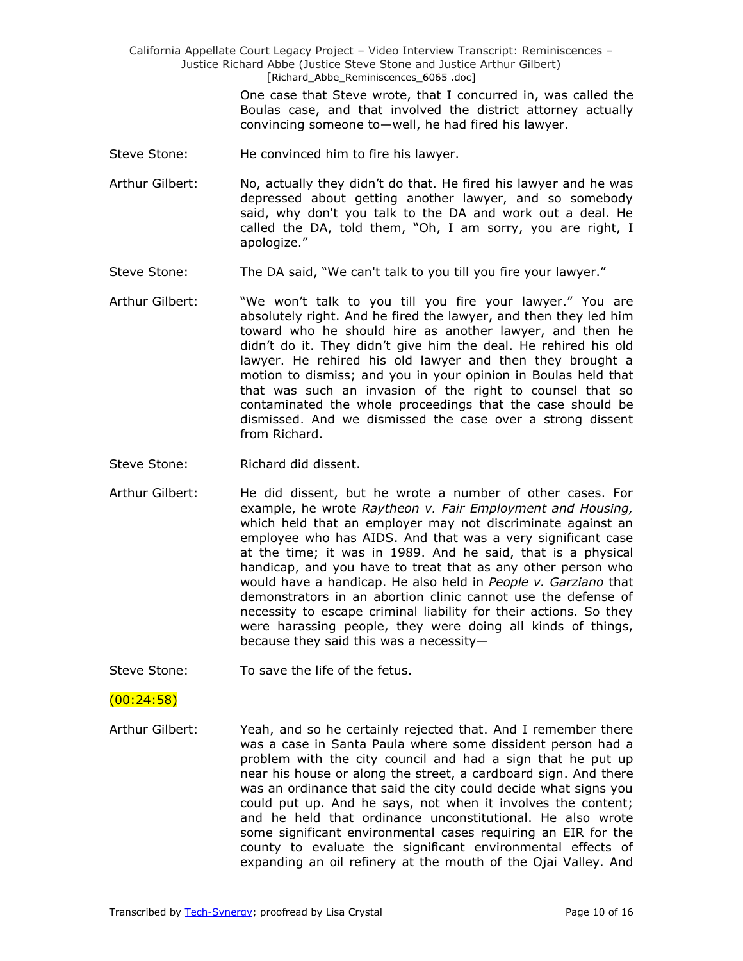> One case that Steve wrote, that I concurred in, was called the Boulas case, and that involved the district attorney actually convincing someone to—well, he had fired his lawyer.

- Steve Stone: He convinced him to fire his lawyer.
- Arthur Gilbert: No, actually they didn't do that. He fired his lawyer and he was depressed about getting another lawyer, and so somebody said, why don't you talk to the DA and work out a deal. He called the DA, told them, "Oh, I am sorry, you are right, I apologize."
- Steve Stone: The DA said, "We can't talk to you till you fire your lawyer."
- Arthur Gilbert: "We won't talk to you till you fire your lawyer." You are absolutely right. And he fired the lawyer, and then they led him toward who he should hire as another lawyer, and then he didn't do it. They didn't give him the deal. He rehired his old lawyer. He rehired his old lawyer and then they brought a motion to dismiss; and you in your opinion in Boulas held that that was such an invasion of the right to counsel that so contaminated the whole proceedings that the case should be dismissed. And we dismissed the case over a strong dissent from Richard.
- Steve Stone: Richard did dissent.
- Arthur Gilbert: He did dissent, but he wrote a number of other cases. For example, he wrote *Raytheon v. Fair Employment and Housing,* which held that an employer may not discriminate against an employee who has AIDS. And that was a very significant case at the time; it was in 1989. And he said, that is a physical handicap, and you have to treat that as any other person who would have a handicap. He also held in *People v. Garziano* that demonstrators in an abortion clinic cannot use the defense of necessity to escape criminal liability for their actions. So they were harassing people, they were doing all kinds of things, because they said this was a necessity—
- Steve Stone: To save the life of the fetus.

#### $(00:24:58)$

Arthur Gilbert: Yeah, and so he certainly rejected that. And I remember there was a case in Santa Paula where some dissident person had a problem with the city council and had a sign that he put up near his house or along the street, a cardboard sign. And there was an ordinance that said the city could decide what signs you could put up. And he says, not when it involves the content; and he held that ordinance unconstitutional. He also wrote some significant environmental cases requiring an EIR for the county to evaluate the significant environmental effects of expanding an oil refinery at the mouth of the Ojai Valley. And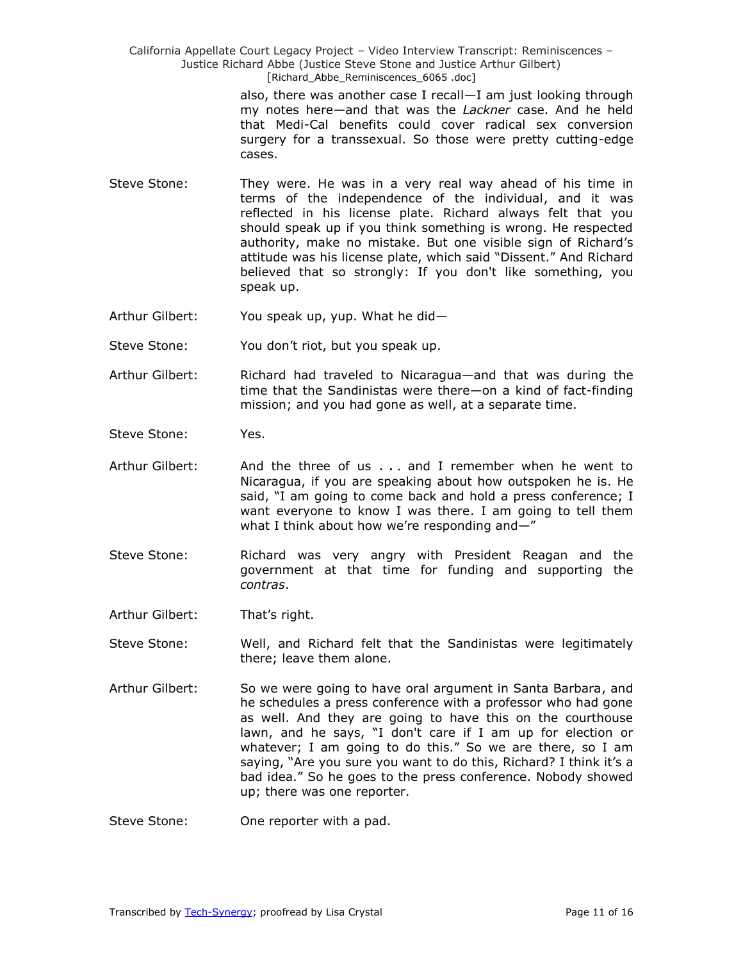> also, there was another case I recall—I am just looking through my notes here—and that was the *Lackner* case. And he held that Medi-Cal benefits could cover radical sex conversion surgery for a transsexual. So those were pretty cutting-edge cases.

- Steve Stone: They were. He was in a very real way ahead of his time in terms of the independence of the individual, and it was reflected in his license plate. Richard always felt that you should speak up if you think something is wrong. He respected authority, make no mistake. But one visible sign of Richard's attitude was his license plate, which said "Dissent." And Richard believed that so strongly: If you don't like something, you speak up.
- Arthur Gilbert: You speak up, yup. What he did—
- Steve Stone: You don't riot, but you speak up.
- Arthur Gilbert: Richard had traveled to Nicaragua—and that was during the time that the Sandinistas were there—on a kind of fact-finding mission; and you had gone as well, at a separate time.
- Steve Stone: Yes.
- Arthur Gilbert: And the three of us . . . and I remember when he went to Nicaragua, if you are speaking about how outspoken he is. He said, "I am going to come back and hold a press conference; I want everyone to know I was there. I am going to tell them what I think about how we're responding and $-$ "
- Steve Stone: Sichard was very angry with President Reagan and the government at that time for funding and supporting the *contras*.
- Arthur Gilbert: That's right.
- Steve Stone: Well, and Richard felt that the Sandinistas were legitimately there; leave them alone.
- Arthur Gilbert: So we were going to have oral argument in Santa Barbara, and he schedules a press conference with a professor who had gone as well. And they are going to have this on the courthouse lawn, and he says, "I don't care if I am up for election or whatever; I am going to do this." So we are there, so I am saying, "Are you sure you want to do this, Richard? I think it's a bad idea." So he goes to the press conference. Nobody showed up; there was one reporter.
- Steve Stone: One reporter with a pad.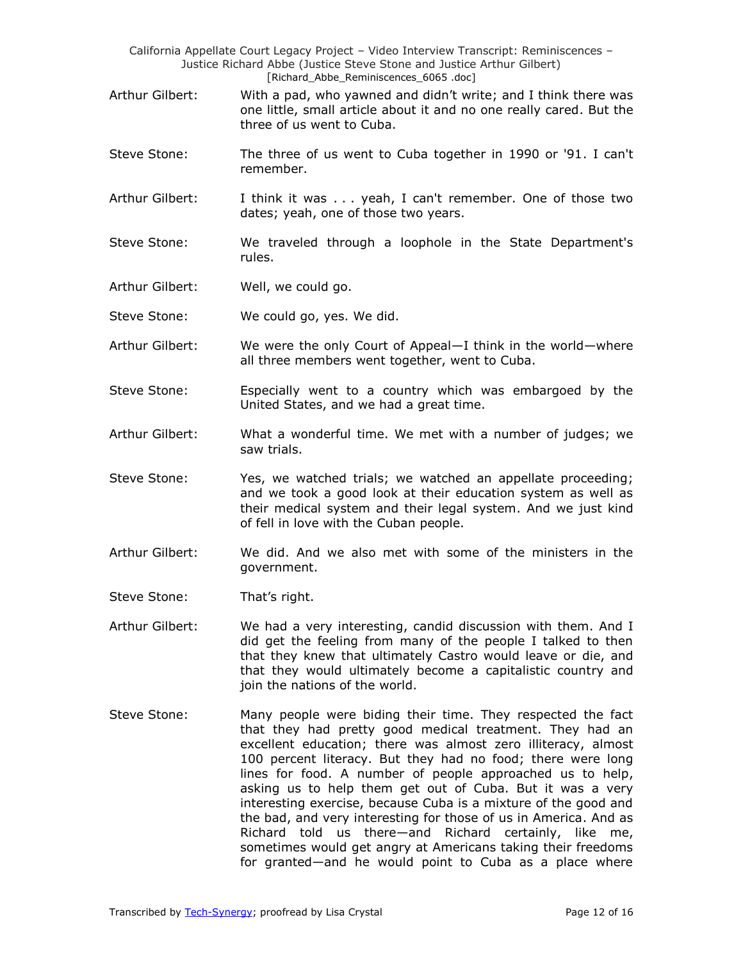- Arthur Gilbert: With a pad, who yawned and didn't write; and I think there was one little, small article about it and no one really cared. But the three of us went to Cuba.
- Steve Stone: The three of us went to Cuba together in 1990 or '91. I can't remember.
- Arthur Gilbert: I think it was . . . yeah, I can't remember. One of those two dates; yeah, one of those two years.
- Steve Stone: We traveled through a loophole in the State Department's rules.
- Arthur Gilbert: Well, we could go.
- Steve Stone: We could go, yes. We did.
- Arthur Gilbert: We were the only Court of Appeal—I think in the world—where all three members went together, went to Cuba.
- Steve Stone: Especially went to a country which was embargoed by the United States, and we had a great time.
- Arthur Gilbert: What a wonderful time. We met with a number of judges; we saw trials.
- Steve Stone: Yes, we watched trials; we watched an appellate proceeding; and we took a good look at their education system as well as their medical system and their legal system. And we just kind of fell in love with the Cuban people.
- Arthur Gilbert: We did. And we also met with some of the ministers in the government.
- Steve Stone: That's right.
- Arthur Gilbert: We had a very interesting, candid discussion with them. And I did get the feeling from many of the people I talked to then that they knew that ultimately Castro would leave or die, and that they would ultimately become a capitalistic country and join the nations of the world.
- Steve Stone: Many people were biding their time. They respected the fact that they had pretty good medical treatment. They had an excellent education; there was almost zero illiteracy, almost 100 percent literacy. But they had no food; there were long lines for food. A number of people approached us to help, asking us to help them get out of Cuba. But it was a very interesting exercise, because Cuba is a mixture of the good and the bad, and very interesting for those of us in America. And as Richard told us there—and Richard certainly, like me, sometimes would get angry at Americans taking their freedoms for granted—and he would point to Cuba as a place where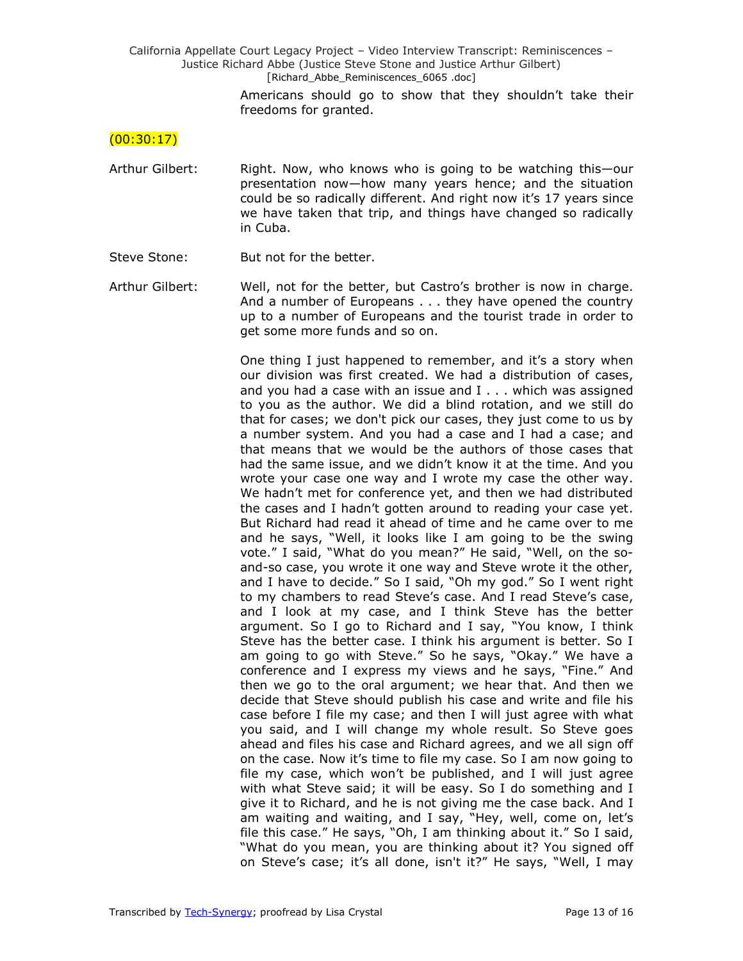> Americans should go to show that they shouldn't take their freedoms for granted.

#### $(00:30:17)$

- Arthur Gilbert: Right. Now, who knows who is going to be watching this—our presentation now—how many years hence; and the situation could be so radically different. And right now it's 17 years since we have taken that trip, and things have changed so radically in Cuba.
- Steve Stone: But not for the better.
- Arthur Gilbert: Well, not for the better, but Castro's brother is now in charge. And a number of Europeans . . . they have opened the country up to a number of Europeans and the tourist trade in order to get some more funds and so on.

One thing I just happened to remember, and it's a story when our division was first created. We had a distribution of cases, and you had a case with an issue and I . . . which was assigned to you as the author. We did a blind rotation, and we still do that for cases; we don't pick our cases, they just come to us by a number system. And you had a case and I had a case; and that means that we would be the authors of those cases that had the same issue, and we didn't know it at the time. And you wrote your case one way and I wrote my case the other way. We hadn't met for conference yet, and then we had distributed the cases and I hadn't gotten around to reading your case yet. But Richard had read it ahead of time and he came over to me and he says, "Well, it looks like I am going to be the swing vote." I said, "What do you mean?" He said, "Well, on the soand-so case, you wrote it one way and Steve wrote it the other, and I have to decide." So I said, "Oh my god." So I went right to my chambers to read Steve's case. And I read Steve's case, and I look at my case, and I think Steve has the better argument. So I go to Richard and I say, "You know, I think Steve has the better case. I think his argument is better. So I am going to go with Steve." So he says, "Okay." We have a conference and I express my views and he says, "Fine." And then we go to the oral argument; we hear that. And then we decide that Steve should publish his case and write and file his case before I file my case; and then I will just agree with what you said, and I will change my whole result. So Steve goes ahead and files his case and Richard agrees, and we all sign off on the case. Now it's time to file my case. So I am now going to file my case, which won't be published, and I will just agree with what Steve said; it will be easy. So I do something and I give it to Richard, and he is not giving me the case back. And I am waiting and waiting, and I say, "Hey, well, come on, let's file this case." He says, "Oh, I am thinking about it." So I said, "What do you mean, you are thinking about it? You signed off on Steve's case; it's all done, isn't it?" He says, "Well, I may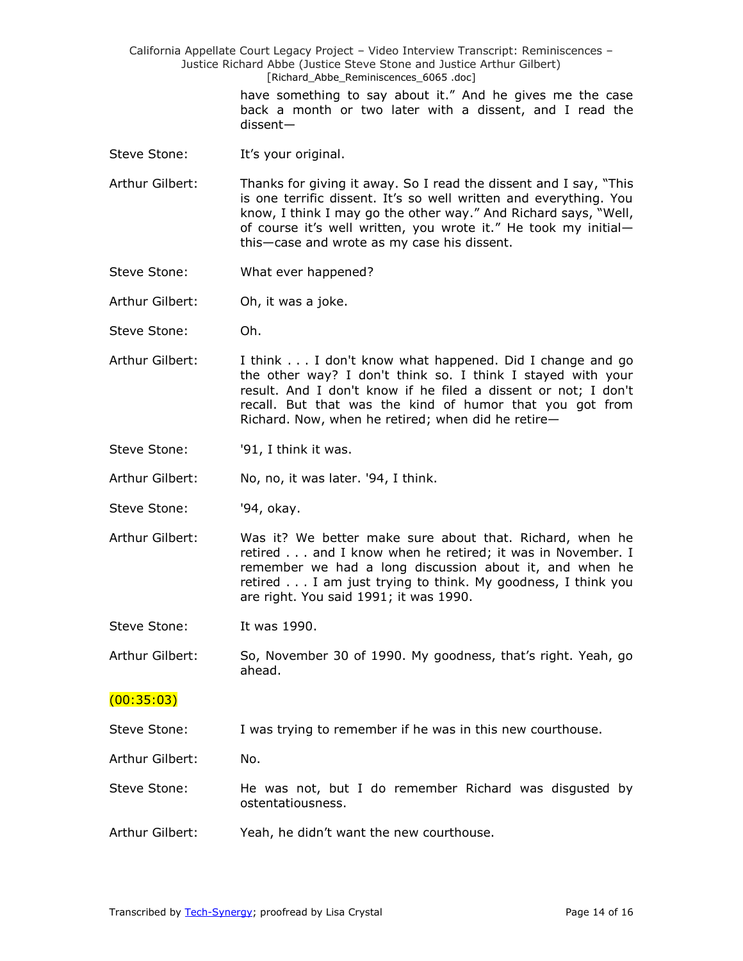> have something to say about it." And he gives me the case back a month or two later with a dissent, and I read the dissent—

- Steve Stone: It's your original.
- Arthur Gilbert: Thanks for giving it away. So I read the dissent and I say, "This is one terrific dissent. It's so well written and everything. You know, I think I may go the other way." And Richard says, "Well, of course it's well written, you wrote it." He took my initialthis—case and wrote as my case his dissent.
- Steve Stone: What ever happened?
- Arthur Gilbert: Oh, it was a joke.
- Steve Stone: Oh.
- Arthur Gilbert: I think . . . I don't know what happened. Did I change and go the other way? I don't think so. I think I stayed with your result. And I don't know if he filed a dissent or not; I don't recall. But that was the kind of humor that you got from Richard. Now, when he retired; when did he retire—
- Steve Stone: '91, I think it was.

Arthur Gilbert: No, no, it was later. '94, I think.

- Steve Stone: '94, okay.
- Arthur Gilbert: Was it? We better make sure about that. Richard, when he retired . . . and I know when he retired; it was in November. I remember we had a long discussion about it, and when he retired . . . I am just trying to think. My goodness, I think you are right. You said 1991; it was 1990.

Steve Stone: It was 1990.

Arthur Gilbert: So, November 30 of 1990. My goodness, that's right. Yeah, go ahead.

#### $(00:35:03)$

Steve Stone: I was trying to remember if he was in this new courthouse.

Arthur Gilbert: No.

Steve Stone: He was not, but I do remember Richard was disgusted by ostentatiousness.

Arthur Gilbert: Yeah, he didn't want the new courthouse.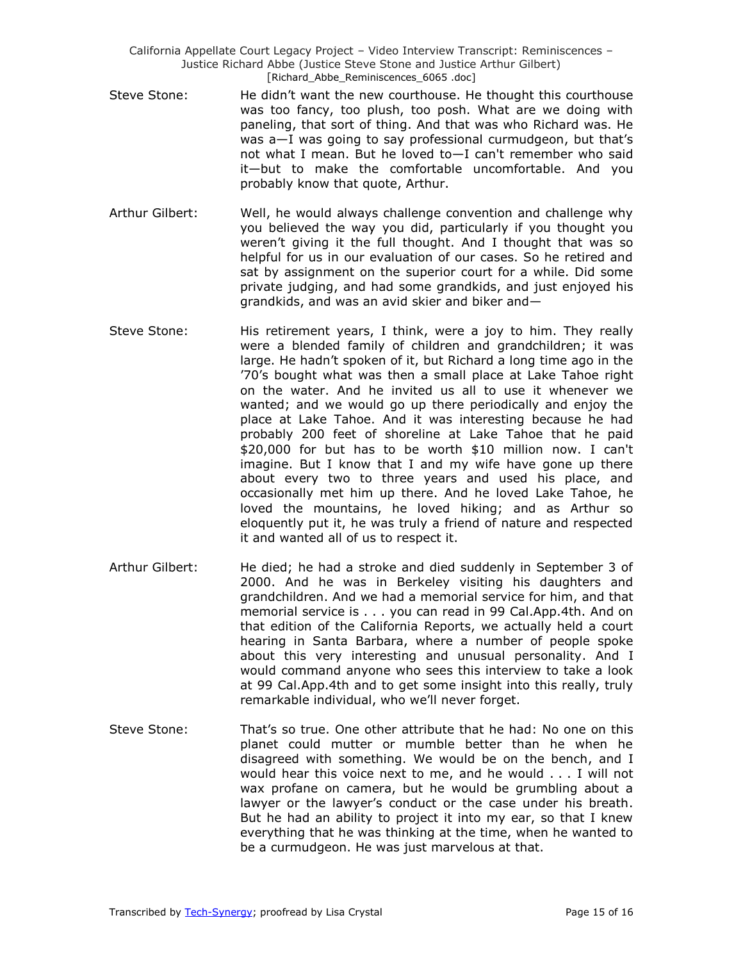- Steve Stone: He didn't want the new courthouse. He thought this courthouse was too fancy, too plush, too posh. What are we doing with paneling, that sort of thing. And that was who Richard was. He was a—I was going to say professional curmudgeon, but that's not what I mean. But he loved to—I can't remember who said it—but to make the comfortable uncomfortable. And you probably know that quote, Arthur.
- Arthur Gilbert: Well, he would always challenge convention and challenge why you believed the way you did, particularly if you thought you weren't giving it the full thought. And I thought that was so helpful for us in our evaluation of our cases. So he retired and sat by assignment on the superior court for a while. Did some private judging, and had some grandkids, and just enjoyed his grandkids, and was an avid skier and biker and—
- Steve Stone: His retirement years, I think, were a joy to him. They really were a blended family of children and grandchildren; it was large. He hadn't spoken of it, but Richard a long time ago in the '70's bought what was then a small place at Lake Tahoe right on the water. And he invited us all to use it whenever we wanted; and we would go up there periodically and enjoy the place at Lake Tahoe. And it was interesting because he had probably 200 feet of shoreline at Lake Tahoe that he paid \$20,000 for but has to be worth \$10 million now. I can't imagine. But I know that I and my wife have gone up there about every two to three years and used his place, and occasionally met him up there. And he loved Lake Tahoe, he loved the mountains, he loved hiking; and as Arthur so eloquently put it, he was truly a friend of nature and respected it and wanted all of us to respect it.
- Arthur Gilbert: He died; he had a stroke and died suddenly in September 3 of 2000. And he was in Berkeley visiting his daughters and grandchildren. And we had a memorial service for him, and that memorial service is . . . you can read in 99 Cal.App.4th. And on that edition of the California Reports, we actually held a court hearing in Santa Barbara, where a number of people spoke about this very interesting and unusual personality. And I would command anyone who sees this interview to take a look at 99 Cal.App.4th and to get some insight into this really, truly remarkable individual, who we'll never forget.
- Steve Stone: That's so true. One other attribute that he had: No one on this planet could mutter or mumble better than he when he disagreed with something. We would be on the bench, and I would hear this voice next to me, and he would . . . I will not wax profane on camera, but he would be grumbling about a lawyer or the lawyer's conduct or the case under his breath. But he had an ability to project it into my ear, so that I knew everything that he was thinking at the time, when he wanted to be a curmudgeon. He was just marvelous at that.